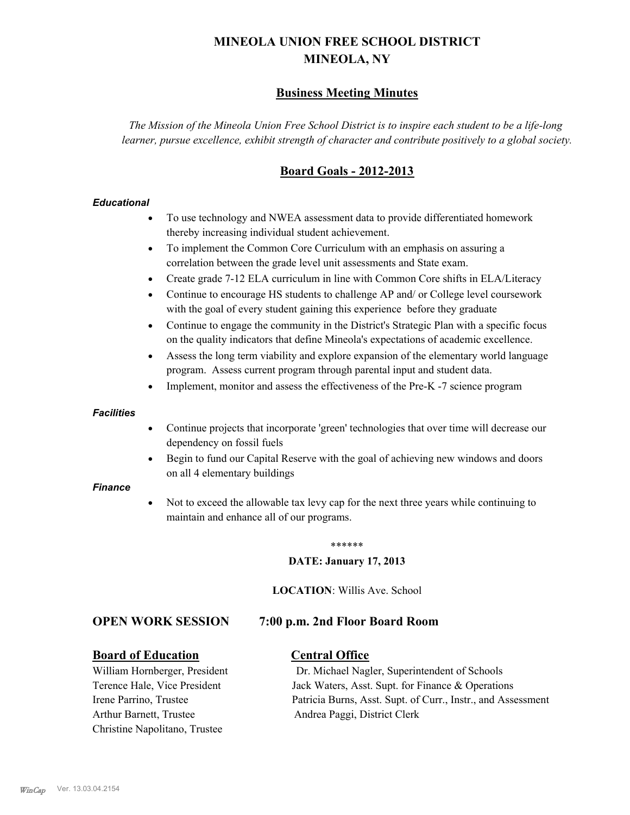# **MINEOLA UNION FREE SCHOOL DISTRICT MINEOLA, NY**

## **Business Meeting Minutes**

*The Mission of the Mineola Union Free School District is to inspire each student to be a life-long learner, pursue excellence, exhibit strength of character and contribute positively to a global society.*

## **Board Goals - 2012-2013**

## *Educational*

- · To use technology and NWEA assessment data to provide differentiated homework thereby increasing individual student achievement.
- · To implement the Common Core Curriculum with an emphasis on assuring a correlation between the grade level unit assessments and State exam.
- Create grade 7-12 ELA curriculum in line with Common Core shifts in ELA/Literacy
- Continue to encourage HS students to challenge AP and/ or College level coursework with the goal of every student gaining this experience before they graduate
- · Continue to engage the community in the District's Strategic Plan with a specific focus on the quality indicators that define Mineola's expectations of academic excellence.
- Assess the long term viability and explore expansion of the elementary world language program. Assess current program through parental input and student data.
- Implement, monitor and assess the effectiveness of the Pre-K -7 science program

#### *Facilities*

- · Continue projects that incorporate 'green' technologies that over time will decrease our dependency on fossil fuels
- · Begin to fund our Capital Reserve with the goal of achieving new windows and doors on all 4 elementary buildings

#### *Finance*

Not to exceed the allowable tax levy cap for the next three years while continuing to maintain and enhance all of our programs.

#### \*\*\*\*\*\*

#### **DATE: January 17, 2013**

**LOCATION**: Willis Ave. School

## **OPEN WORK SESSION 7:00 p.m. 2nd Floor Board Room**

## **Board of Education Central Office**

Arthur Barnett, Trustee Andrea Paggi, District Clerk Christine Napolitano, Trustee

William Hornberger, President Dr. Michael Nagler, Superintendent of Schools Terence Hale, Vice President Jack Waters, Asst. Supt. for Finance & Operations Irene Parrino, Trustee Patricia Burns, Asst. Supt. of Curr., Instr., and Assessment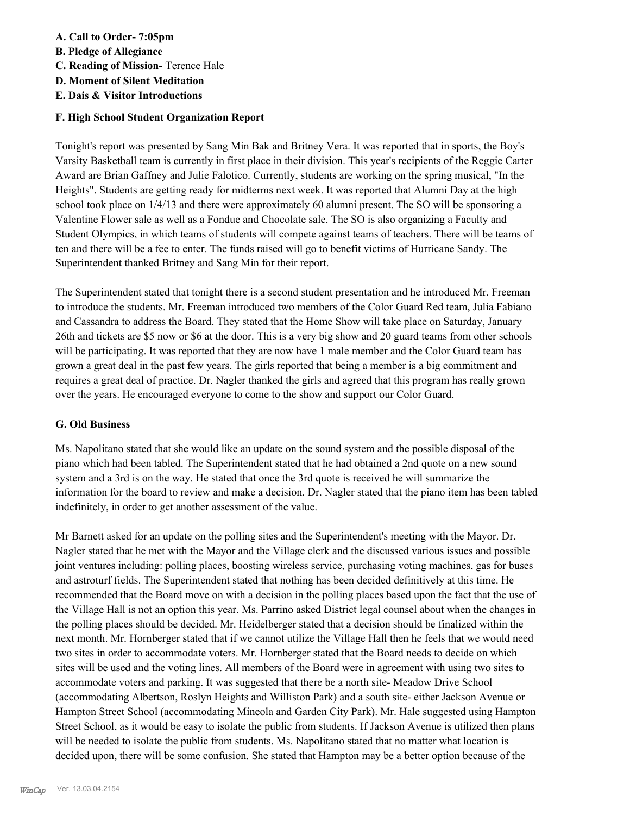## **A. Call to Order- 7:05pm**

**B. Pledge of Allegiance**

- **C. Reading of Mission-** Terence Hale
- **D. Moment of Silent Meditation**
- **E. Dais & Visitor Introductions**

## **F. High School Student Organization Report**

Tonight's report was presented by Sang Min Bak and Britney Vera. It was reported that in sports, the Boy's Varsity Basketball team is currently in first place in their division. This year's recipients of the Reggie Carter Award are Brian Gaffney and Julie Falotico. Currently, students are working on the spring musical, "In the Heights". Students are getting ready for midterms next week. It was reported that Alumni Day at the high school took place on 1/4/13 and there were approximately 60 alumni present. The SO will be sponsoring a Valentine Flower sale as well as a Fondue and Chocolate sale. The SO is also organizing a Faculty and Student Olympics, in which teams of students will compete against teams of teachers. There will be teams of ten and there will be a fee to enter. The funds raised will go to benefit victims of Hurricane Sandy. The Superintendent thanked Britney and Sang Min for their report.

The Superintendent stated that tonight there is a second student presentation and he introduced Mr. Freeman to introduce the students. Mr. Freeman introduced two members of the Color Guard Red team, Julia Fabiano and Cassandra to address the Board. They stated that the Home Show will take place on Saturday, January 26th and tickets are \$5 now or \$6 at the door. This is a very big show and 20 guard teams from other schools will be participating. It was reported that they are now have 1 male member and the Color Guard team has grown a great deal in the past few years. The girls reported that being a member is a big commitment and requires a great deal of practice. Dr. Nagler thanked the girls and agreed that this program has really grown over the years. He encouraged everyone to come to the show and support our Color Guard.

## **G. Old Business**

Ms. Napolitano stated that she would like an update on the sound system and the possible disposal of the piano which had been tabled. The Superintendent stated that he had obtained a 2nd quote on a new sound system and a 3rd is on the way. He stated that once the 3rd quote is received he will summarize the information for the board to review and make a decision. Dr. Nagler stated that the piano item has been tabled indefinitely, in order to get another assessment of the value.

Mr Barnett asked for an update on the polling sites and the Superintendent's meeting with the Mayor. Dr. Nagler stated that he met with the Mayor and the Village clerk and the discussed various issues and possible joint ventures including: polling places, boosting wireless service, purchasing voting machines, gas for buses and astroturf fields. The Superintendent stated that nothing has been decided definitively at this time. He recommended that the Board move on with a decision in the polling places based upon the fact that the use of the Village Hall is not an option this year. Ms. Parrino asked District legal counsel about when the changes in the polling places should be decided. Mr. Heidelberger stated that a decision should be finalized within the next month. Mr. Hornberger stated that if we cannot utilize the Village Hall then he feels that we would need two sites in order to accommodate voters. Mr. Hornberger stated that the Board needs to decide on which sites will be used and the voting lines. All members of the Board were in agreement with using two sites to accommodate voters and parking. It was suggested that there be a north site- Meadow Drive School (accommodating Albertson, Roslyn Heights and Williston Park) and a south site- either Jackson Avenue or Hampton Street School (accommodating Mineola and Garden City Park). Mr. Hale suggested using Hampton Street School, as it would be easy to isolate the public from students. If Jackson Avenue is utilized then plans will be needed to isolate the public from students. Ms. Napolitano stated that no matter what location is decided upon, there will be some confusion. She stated that Hampton may be a better option because of the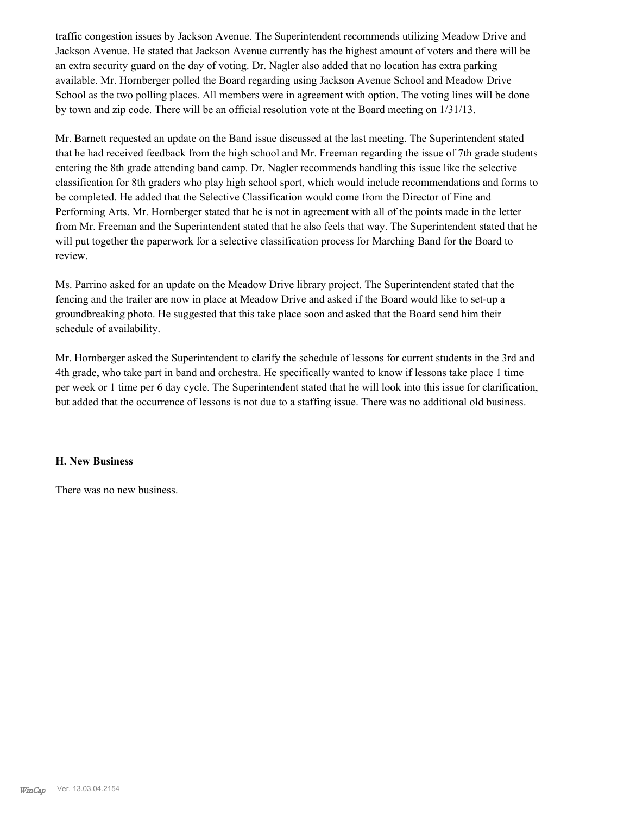traffic congestion issues by Jackson Avenue. The Superintendent recommends utilizing Meadow Drive and Jackson Avenue. He stated that Jackson Avenue currently has the highest amount of voters and there will be an extra security guard on the day of voting. Dr. Nagler also added that no location has extra parking available. Mr. Hornberger polled the Board regarding using Jackson Avenue School and Meadow Drive School as the two polling places. All members were in agreement with option. The voting lines will be done by town and zip code. There will be an official resolution vote at the Board meeting on 1/31/13.

Mr. Barnett requested an update on the Band issue discussed at the last meeting. The Superintendent stated that he had received feedback from the high school and Mr. Freeman regarding the issue of 7th grade students entering the 8th grade attending band camp. Dr. Nagler recommends handling this issue like the selective classification for 8th graders who play high school sport, which would include recommendations and forms to be completed. He added that the Selective Classification would come from the Director of Fine and Performing Arts. Mr. Hornberger stated that he is not in agreement with all of the points made in the letter from Mr. Freeman and the Superintendent stated that he also feels that way. The Superintendent stated that he will put together the paperwork for a selective classification process for Marching Band for the Board to review.

Ms. Parrino asked for an update on the Meadow Drive library project. The Superintendent stated that the fencing and the trailer are now in place at Meadow Drive and asked if the Board would like to set-up a groundbreaking photo. He suggested that this take place soon and asked that the Board send him their schedule of availability.

Mr. Hornberger asked the Superintendent to clarify the schedule of lessons for current students in the 3rd and 4th grade, who take part in band and orchestra. He specifically wanted to know if lessons take place 1 time per week or 1 time per 6 day cycle. The Superintendent stated that he will look into this issue for clarification, but added that the occurrence of lessons is not due to a staffing issue. There was no additional old business.

#### **H. New Business**

There was no new business.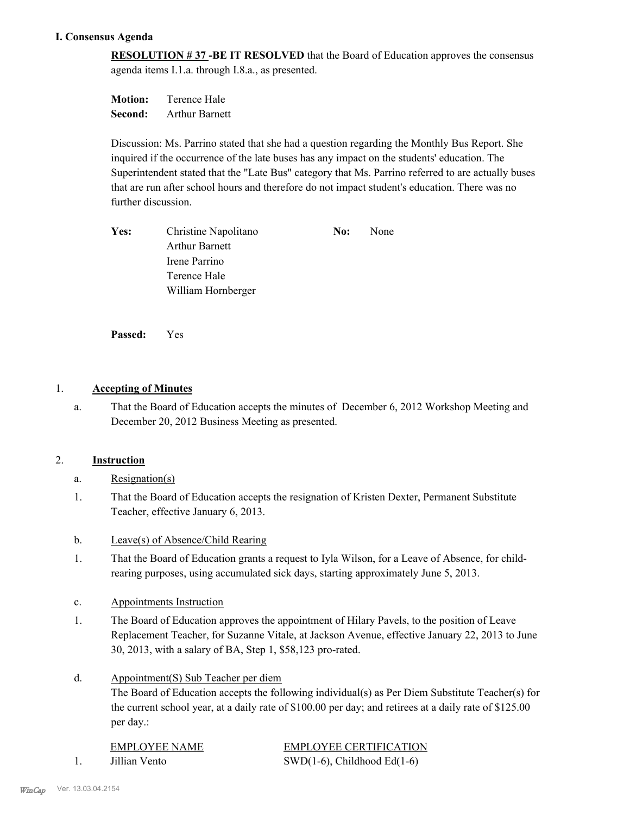## **I. Consensus Agenda**

**RESOLUTION # 37 -BE IT RESOLVED** that the Board of Education approves the consensus agenda items I.1.a. through I.8.a., as presented.

**Motion:** Terence Hale **Second:** Arthur Barnett

Discussion: Ms. Parrino stated that she had a question regarding the Monthly Bus Report. She inquired if the occurrence of the late buses has any impact on the students' education. The Superintendent stated that the "Late Bus" category that Ms. Parrino referred to are actually buses that are run after school hours and therefore do not impact student's education. There was no further discussion.

| Yes: | Christine Napolitano  | No: | None |
|------|-----------------------|-----|------|
|      | <b>Arthur Barnett</b> |     |      |
|      | Irene Parrino         |     |      |
|      | Terence Hale          |     |      |
|      | William Hornberger    |     |      |

**Passed:** Yes

## 1. **Accepting of Minutes**

That the Board of Education accepts the minutes of December 6, 2012 Workshop Meeting and December 20, 2012 Business Meeting as presented. a.

## 2. **Instruction**

- a. Resignation(s)
- That the Board of Education accepts the resignation of Kristen Dexter, Permanent Substitute Teacher, effective January 6, 2013. 1.
- b. Leave(s) of Absence/Child Rearing
- That the Board of Education grants a request to Iyla Wilson, for a Leave of Absence, for childrearing purposes, using accumulated sick days, starting approximately June 5, 2013. 1.
- c. Appointments Instruction
- The Board of Education approves the appointment of Hilary Pavels, to the position of Leave Replacement Teacher, for Suzanne Vitale, at Jackson Avenue, effective January 22, 2013 to June 30, 2013, with a salary of BA, Step 1, \$58,123 pro-rated. 1.
- Appointment(S) Sub Teacher per diem d.

The Board of Education accepts the following individual(s) as Per Diem Substitute Teacher(s) for the current school year, at a daily rate of \$100.00 per day; and retirees at a daily rate of \$125.00 per day.:

EMPLOYEE NAME EMPLOYEE CERTIFICATION 1. Jillian Vento SWD(1-6), Childhood Ed(1-6)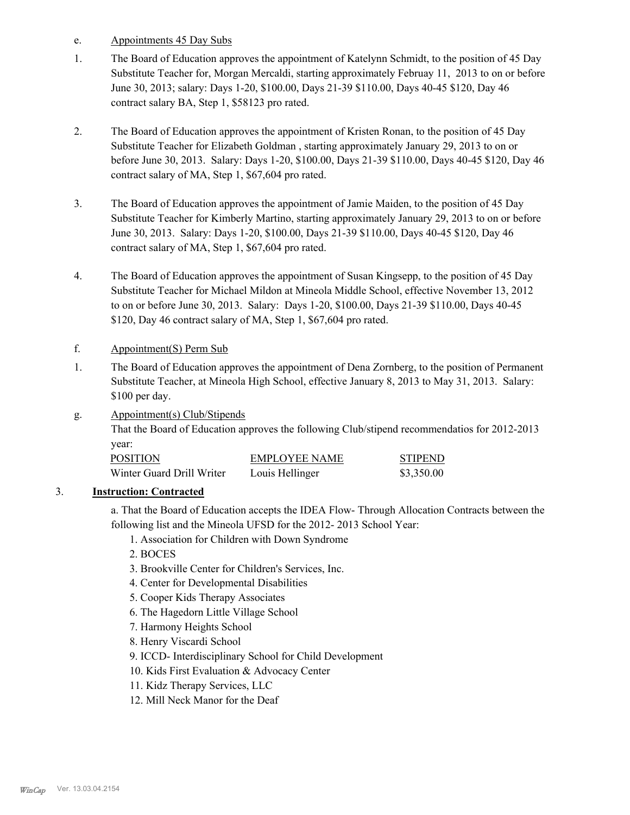- e. Appointments 45 Day Subs
- The Board of Education approves the appointment of Katelynn Schmidt, to the position of 45 Day Substitute Teacher for, Morgan Mercaldi, starting approximately Februay 11, 2013 to on or before June 30, 2013; salary: Days 1-20, \$100.00, Days 21-39 \$110.00, Days 40-45 \$120, Day 46 contract salary BA, Step 1, \$58123 pro rated. 1.
- The Board of Education approves the appointment of Kristen Ronan, to the position of 45 Day Substitute Teacher for Elizabeth Goldman , starting approximately January 29, 2013 to on or before June 30, 2013. Salary: Days 1-20, \$100.00, Days 21-39 \$110.00, Days 40-45 \$120, Day 46 contract salary of MA, Step 1, \$67,604 pro rated. 2.
- The Board of Education approves the appointment of Jamie Maiden, to the position of 45 Day Substitute Teacher for Kimberly Martino, starting approximately January 29, 2013 to on or before June 30, 2013. Salary: Days 1-20, \$100.00, Days 21-39 \$110.00, Days 40-45 \$120, Day 46 contract salary of MA, Step 1, \$67,604 pro rated. 3.
- The Board of Education approves the appointment of Susan Kingsepp, to the position of 45 Day Substitute Teacher for Michael Mildon at Mineola Middle School, effective November 13, 2012 to on or before June 30, 2013. Salary: Days 1-20, \$100.00, Days 21-39 \$110.00, Days 40-45 \$120, Day 46 contract salary of MA, Step 1, \$67,604 pro rated. 4.

## f. Appointment(S) Perm Sub

- The Board of Education approves the appointment of Dena Zornberg, to the position of Permanent Substitute Teacher, at Mineola High School, effective January 8, 2013 to May 31, 2013. Salary: \$100 per day. 1.
- Appointment(s) Club/Stipends That the Board of Education approves the following Club/stipend recommendatios for 2012-2013 year: g.

| <b>POSITION</b>           | EMPLOYEE NAME   | <b>STIPEND</b> |
|---------------------------|-----------------|----------------|
| Winter Guard Drill Writer | Louis Hellinger | \$3,350.00     |

## 3. **Instruction: Contracted**

a. That the Board of Education accepts the IDEA Flow- Through Allocation Contracts between the following list and the Mineola UFSD for the 2012- 2013 School Year:

1. Association for Children with Down Syndrome

2. BOCES

- 3. Brookville Center for Children's Services, Inc.
- 4. Center for Developmental Disabilities
- 5. Cooper Kids Therapy Associates
- 6. The Hagedorn Little Village School
- 7. Harmony Heights School

8. Henry Viscardi School

- 9. ICCD- Interdisciplinary School for Child Development
- 10. Kids First Evaluation & Advocacy Center
- 11. Kidz Therapy Services, LLC
- 12. Mill Neck Manor for the Deaf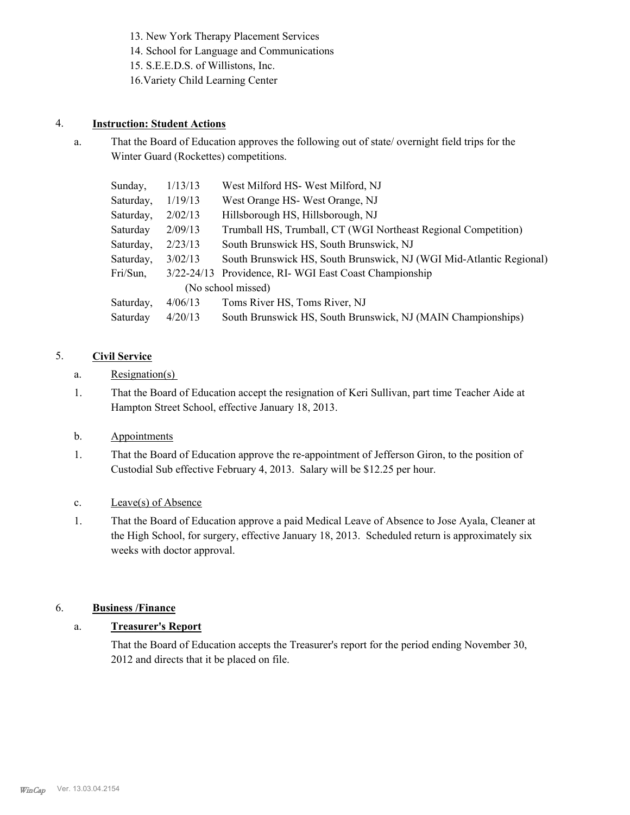13. New York Therapy Placement Services

- 14. School for Language and Communications
- 15. S.E.E.D.S. of Willistons, Inc.
- 16.Variety Child Learning Center

## 4. **Instruction: Student Actions**

That the Board of Education approves the following out of state/ overnight field trips for the Winter Guard (Rockettes) competitions. a.

| Sunday,   | 1/13/13 | West Milford HS- West Milford, NJ                                   |
|-----------|---------|---------------------------------------------------------------------|
| Saturday, | 1/19/13 | West Orange HS-West Orange, NJ                                      |
| Saturday, | 2/02/13 | Hillsborough HS, Hillsborough, NJ                                   |
| Saturday  | 2/09/13 | Trumball HS, Trumball, CT (WGI Northeast Regional Competition)      |
| Saturday, | 2/23/13 | South Brunswick HS, South Brunswick, NJ                             |
| Saturday, | 3/02/13 | South Brunswick HS, South Brunswick, NJ (WGI Mid-Atlantic Regional) |
| Fri/Sun,  |         | 3/22-24/13 Providence, RI- WGI East Coast Championship              |
|           |         | (No school missed)                                                  |
| Saturday, | 4/06/13 | Toms River HS, Toms River, NJ                                       |
| Saturday  | 4/20/13 | South Brunswick HS, South Brunswick, NJ (MAIN Championships)        |

## 5. **Civil Service**

- a. Resignation(s)
- That the Board of Education accept the resignation of Keri Sullivan, part time Teacher Aide at Hampton Street School, effective January 18, 2013. 1.

## b. Appointments

That the Board of Education approve the re-appointment of Jefferson Giron, to the position of Custodial Sub effective February 4, 2013. Salary will be \$12.25 per hour. 1.

## c. Leave(s) of Absence

That the Board of Education approve a paid Medical Leave of Absence to Jose Ayala, Cleaner at the High School, for surgery, effective January 18, 2013. Scheduled return is approximately six weeks with doctor approval. 1.

## 6. **Business /Finance**

## a. **Treasurer's Report**

That the Board of Education accepts the Treasurer's report for the period ending November 30, 2012 and directs that it be placed on file.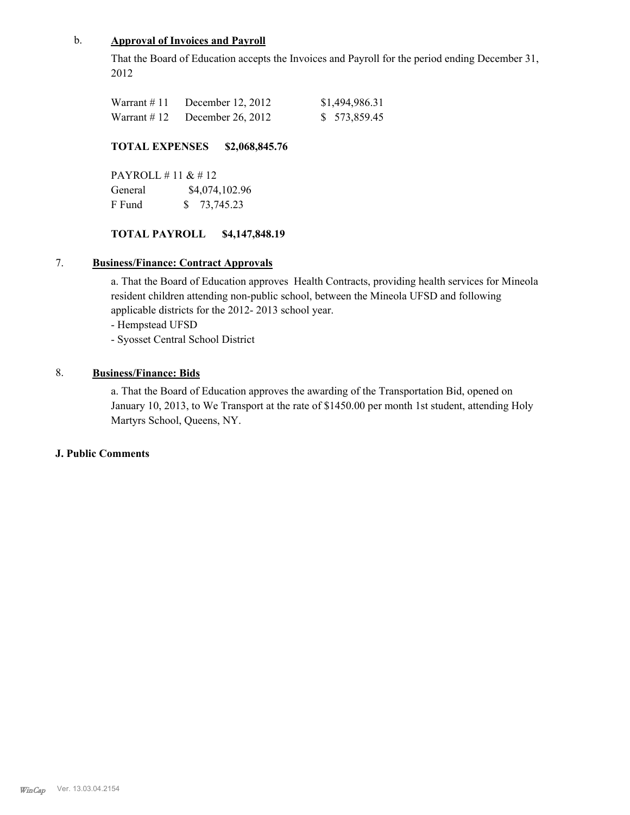## b. **Approval of Invoices and Payroll**

That the Board of Education accepts the Invoices and Payroll for the period ending December 31, 2012

| Warrant # 11 | December 12, 2012 | \$1,494,986.31 |
|--------------|-------------------|----------------|
| Warrant # 12 | December 26, 2012 | \$ 573,859.45  |

## **TOTAL EXPENSES \$2,068,845.76**

PAYROLL # 11 & # 12 General  $$4,074,102.96$ F Fund \$ 73,745.23

## **TOTAL PAYROLL \$4,147,848.19**

## 7. **Business/Finance: Contract Approvals**

a. That the Board of Education approves Health Contracts, providing health services for Mineola resident children attending non-public school, between the Mineola UFSD and following applicable districts for the 2012- 2013 school year.

- Hempstead UFSD
- Syosset Central School District

## 8. **Business/Finance: Bids**

a. That the Board of Education approves the awarding of the Transportation Bid, opened on January 10, 2013, to We Transport at the rate of \$1450.00 per month 1st student, attending Holy Martyrs School, Queens, NY.

#### **J. Public Comments**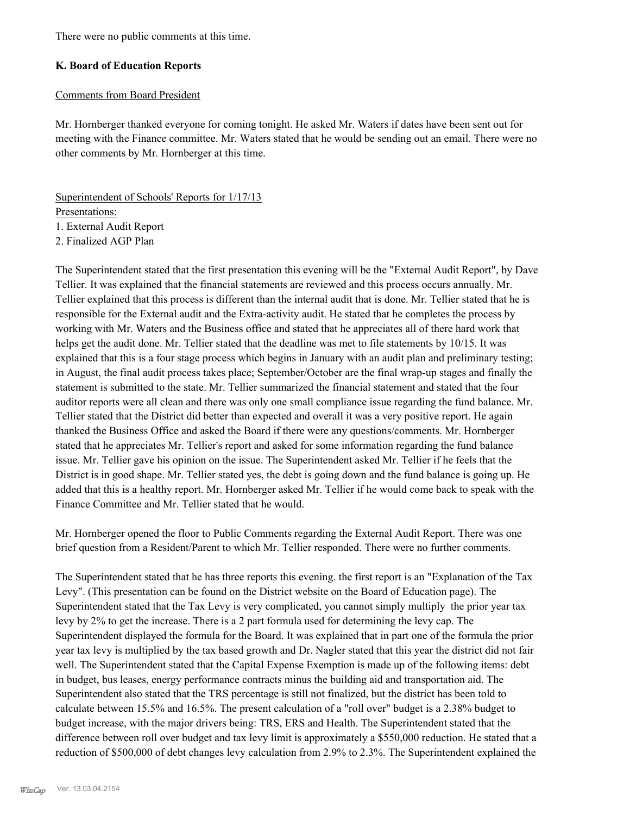There were no public comments at this time.

## **K. Board of Education Reports**

## Comments from Board President

Mr. Hornberger thanked everyone for coming tonight. He asked Mr. Waters if dates have been sent out for meeting with the Finance committee. Mr. Waters stated that he would be sending out an email. There were no other comments by Mr. Hornberger at this time.

Superintendent of Schools' Reports for 1/17/13 Presentations: 1. External Audit Report

2. Finalized AGP Plan

The Superintendent stated that the first presentation this evening will be the "External Audit Report", by Dave Tellier. It was explained that the financial statements are reviewed and this process occurs annually. Mr. Tellier explained that this process is different than the internal audit that is done. Mr. Tellier stated that he is responsible for the External audit and the Extra-activity audit. He stated that he completes the process by working with Mr. Waters and the Business office and stated that he appreciates all of there hard work that helps get the audit done. Mr. Tellier stated that the deadline was met to file statements by 10/15. It was explained that this is a four stage process which begins in January with an audit plan and preliminary testing; in August, the final audit process takes place; September/October are the final wrap-up stages and finally the statement is submitted to the state. Mr. Tellier summarized the financial statement and stated that the four auditor reports were all clean and there was only one small compliance issue regarding the fund balance. Mr. Tellier stated that the District did better than expected and overall it was a very positive report. He again thanked the Business Office and asked the Board if there were any questions/comments. Mr. Hornberger stated that he appreciates Mr. Tellier's report and asked for some information regarding the fund balance issue. Mr. Tellier gave his opinion on the issue. The Superintendent asked Mr. Tellier if he feels that the District is in good shape. Mr. Tellier stated yes, the debt is going down and the fund balance is going up. He added that this is a healthy report. Mr. Hornberger asked Mr. Tellier if he would come back to speak with the Finance Committee and Mr. Tellier stated that he would.

Mr. Hornberger opened the floor to Public Comments regarding the External Audit Report. There was one brief question from a Resident/Parent to which Mr. Tellier responded. There were no further comments.

The Superintendent stated that he has three reports this evening. the first report is an "Explanation of the Tax Levy". (This presentation can be found on the District website on the Board of Education page). The Superintendent stated that the Tax Levy is very complicated, you cannot simply multiply the prior year tax levy by 2% to get the increase. There is a 2 part formula used for determining the levy cap. The Superintendent displayed the formula for the Board. It was explained that in part one of the formula the prior year tax levy is multiplied by the tax based growth and Dr. Nagler stated that this year the district did not fair well. The Superintendent stated that the Capital Expense Exemption is made up of the following items: debt in budget, bus leases, energy performance contracts minus the building aid and transportation aid. The Superintendent also stated that the TRS percentage is still not finalized, but the district has been told to calculate between 15.5% and 16.5%. The present calculation of a "roll over" budget is a 2.38% budget to budget increase, with the major drivers being: TRS, ERS and Health. The Superintendent stated that the difference between roll over budget and tax levy limit is approximately a \$550,000 reduction. He stated that a reduction of \$500,000 of debt changes levy calculation from 2.9% to 2.3%. The Superintendent explained the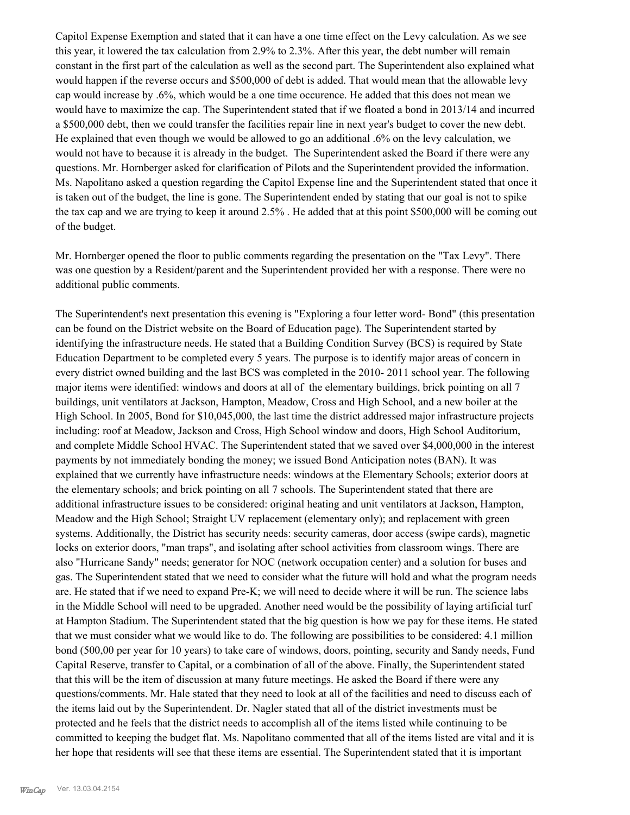Capitol Expense Exemption and stated that it can have a one time effect on the Levy calculation. As we see this year, it lowered the tax calculation from 2.9% to 2.3%. After this year, the debt number will remain constant in the first part of the calculation as well as the second part. The Superintendent also explained what would happen if the reverse occurs and \$500,000 of debt is added. That would mean that the allowable levy cap would increase by .6%, which would be a one time occurence. He added that this does not mean we would have to maximize the cap. The Superintendent stated that if we floated a bond in 2013/14 and incurred a \$500,000 debt, then we could transfer the facilities repair line in next year's budget to cover the new debt. He explained that even though we would be allowed to go an additional .6% on the levy calculation, we would not have to because it is already in the budget. The Superintendent asked the Board if there were any questions. Mr. Hornberger asked for clarification of Pilots and the Superintendent provided the information. Ms. Napolitano asked a question regarding the Capitol Expense line and the Superintendent stated that once it is taken out of the budget, the line is gone. The Superintendent ended by stating that our goal is not to spike the tax cap and we are trying to keep it around 2.5% . He added that at this point \$500,000 will be coming out of the budget.

Mr. Hornberger opened the floor to public comments regarding the presentation on the "Tax Levy". There was one question by a Resident/parent and the Superintendent provided her with a response. There were no additional public comments.

The Superintendent's next presentation this evening is "Exploring a four letter word- Bond" (this presentation can be found on the District website on the Board of Education page). The Superintendent started by identifying the infrastructure needs. He stated that a Building Condition Survey (BCS) is required by State Education Department to be completed every 5 years. The purpose is to identify major areas of concern in every district owned building and the last BCS was completed in the 2010- 2011 school year. The following major items were identified: windows and doors at all of the elementary buildings, brick pointing on all 7 buildings, unit ventilators at Jackson, Hampton, Meadow, Cross and High School, and a new boiler at the High School. In 2005, Bond for \$10,045,000, the last time the district addressed major infrastructure projects including: roof at Meadow, Jackson and Cross, High School window and doors, High School Auditorium, and complete Middle School HVAC. The Superintendent stated that we saved over \$4,000,000 in the interest payments by not immediately bonding the money; we issued Bond Anticipation notes (BAN). It was explained that we currently have infrastructure needs: windows at the Elementary Schools; exterior doors at the elementary schools; and brick pointing on all 7 schools. The Superintendent stated that there are additional infrastructure issues to be considered: original heating and unit ventilators at Jackson, Hampton, Meadow and the High School; Straight UV replacement (elementary only); and replacement with green systems. Additionally, the District has security needs: security cameras, door access (swipe cards), magnetic locks on exterior doors, "man traps", and isolating after school activities from classroom wings. There are also "Hurricane Sandy" needs; generator for NOC (network occupation center) and a solution for buses and gas. The Superintendent stated that we need to consider what the future will hold and what the program needs are. He stated that if we need to expand Pre-K; we will need to decide where it will be run. The science labs in the Middle School will need to be upgraded. Another need would be the possibility of laying artificial turf at Hampton Stadium. The Superintendent stated that the big question is how we pay for these items. He stated that we must consider what we would like to do. The following are possibilities to be considered: 4.1 million bond (500,00 per year for 10 years) to take care of windows, doors, pointing, security and Sandy needs, Fund Capital Reserve, transfer to Capital, or a combination of all of the above. Finally, the Superintendent stated that this will be the item of discussion at many future meetings. He asked the Board if there were any questions/comments. Mr. Hale stated that they need to look at all of the facilities and need to discuss each of the items laid out by the Superintendent. Dr. Nagler stated that all of the district investments must be protected and he feels that the district needs to accomplish all of the items listed while continuing to be committed to keeping the budget flat. Ms. Napolitano commented that all of the items listed are vital and it is her hope that residents will see that these items are essential. The Superintendent stated that it is important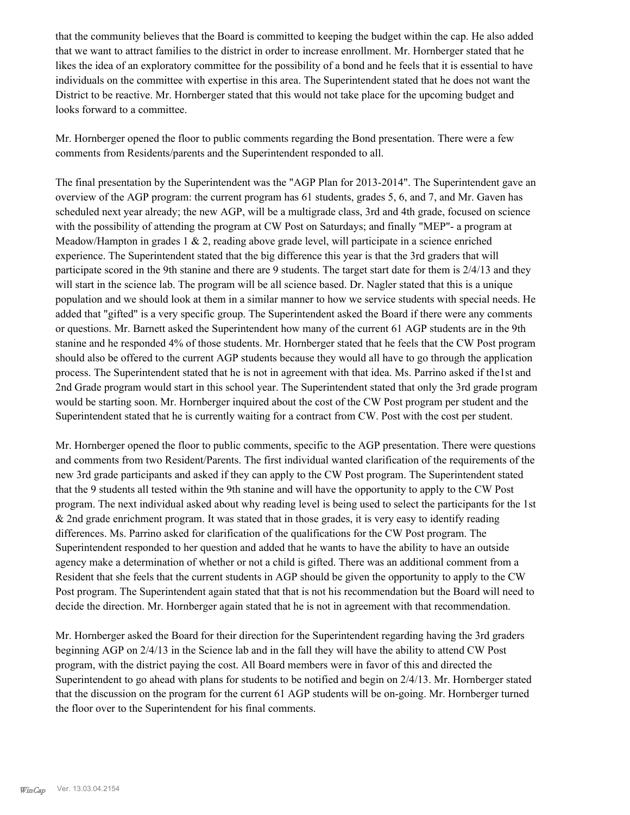that the community believes that the Board is committed to keeping the budget within the cap. He also added that we want to attract families to the district in order to increase enrollment. Mr. Hornberger stated that he likes the idea of an exploratory committee for the possibility of a bond and he feels that it is essential to have individuals on the committee with expertise in this area. The Superintendent stated that he does not want the District to be reactive. Mr. Hornberger stated that this would not take place for the upcoming budget and looks forward to a committee.

Mr. Hornberger opened the floor to public comments regarding the Bond presentation. There were a few comments from Residents/parents and the Superintendent responded to all.

The final presentation by the Superintendent was the "AGP Plan for 2013-2014". The Superintendent gave an overview of the AGP program: the current program has 61 students, grades 5, 6, and 7, and Mr. Gaven has scheduled next year already; the new AGP, will be a multigrade class, 3rd and 4th grade, focused on science with the possibility of attending the program at CW Post on Saturdays; and finally "MEP"- a program at Meadow/Hampton in grades  $1 \& 2$ , reading above grade level, will participate in a science enriched experience. The Superintendent stated that the big difference this year is that the 3rd graders that will participate scored in the 9th stanine and there are 9 students. The target start date for them is 2/4/13 and they will start in the science lab. The program will be all science based. Dr. Nagler stated that this is a unique population and we should look at them in a similar manner to how we service students with special needs. He added that "gifted" is a very specific group. The Superintendent asked the Board if there were any comments or questions. Mr. Barnett asked the Superintendent how many of the current 61 AGP students are in the 9th stanine and he responded 4% of those students. Mr. Hornberger stated that he feels that the CW Post program should also be offered to the current AGP students because they would all have to go through the application process. The Superintendent stated that he is not in agreement with that idea. Ms. Parrino asked if the1st and 2nd Grade program would start in this school year. The Superintendent stated that only the 3rd grade program would be starting soon. Mr. Hornberger inquired about the cost of the CW Post program per student and the Superintendent stated that he is currently waiting for a contract from CW. Post with the cost per student.

Mr. Hornberger opened the floor to public comments, specific to the AGP presentation. There were questions and comments from two Resident/Parents. The first individual wanted clarification of the requirements of the new 3rd grade participants and asked if they can apply to the CW Post program. The Superintendent stated that the 9 students all tested within the 9th stanine and will have the opportunity to apply to the CW Post program. The next individual asked about why reading level is being used to select the participants for the 1st & 2nd grade enrichment program. It was stated that in those grades, it is very easy to identify reading differences. Ms. Parrino asked for clarification of the qualifications for the CW Post program. The Superintendent responded to her question and added that he wants to have the ability to have an outside agency make a determination of whether or not a child is gifted. There was an additional comment from a Resident that she feels that the current students in AGP should be given the opportunity to apply to the CW Post program. The Superintendent again stated that that is not his recommendation but the Board will need to decide the direction. Mr. Hornberger again stated that he is not in agreement with that recommendation.

Mr. Hornberger asked the Board for their direction for the Superintendent regarding having the 3rd graders beginning AGP on 2/4/13 in the Science lab and in the fall they will have the ability to attend CW Post program, with the district paying the cost. All Board members were in favor of this and directed the Superintendent to go ahead with plans for students to be notified and begin on 2/4/13. Mr. Hornberger stated that the discussion on the program for the current 61 AGP students will be on-going. Mr. Hornberger turned the floor over to the Superintendent for his final comments.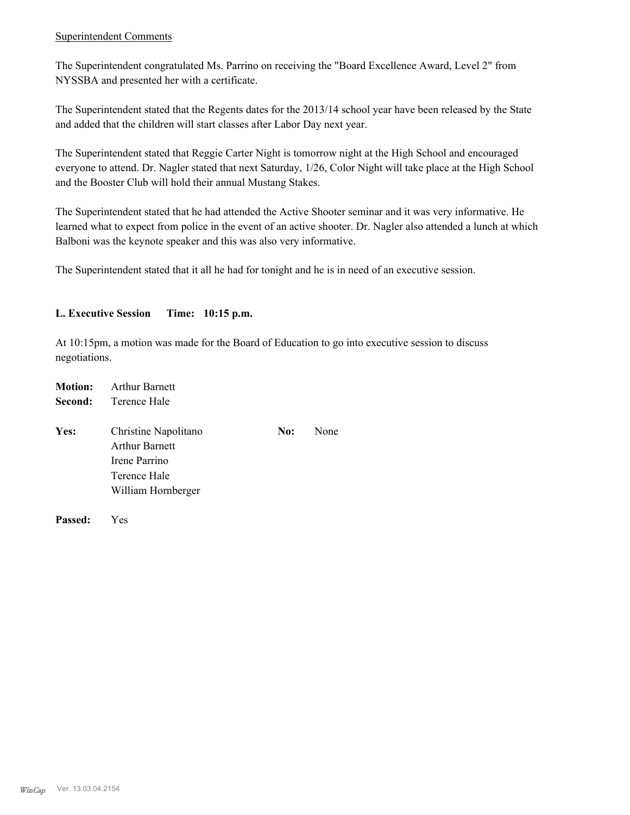## Superintendent Comments

The Superintendent congratulated Ms. Parrino on receiving the "Board Excellence Award, Level 2" from NYSSBA and presented her with a certificate.

The Superintendent stated that the Regents dates for the 2013/14 school year have been released by the State and added that the children will start classes after Labor Day next year.

The Superintendent stated that Reggie Carter Night is tomorrow night at the High School and encouraged everyone to attend. Dr. Nagler stated that next Saturday, 1/26, Color Night will take place at the High School and the Booster Club will hold their annual Mustang Stakes.

The Superintendent stated that he had attended the Active Shooter seminar and it was very informative. He learned what to expect from police in the event of an active shooter. Dr. Nagler also attended a lunch at which Balboni was the keynote speaker and this was also very informative.

The Superintendent stated that it all he had for tonight and he is in need of an executive session.

## **L. Executive Session Time: 10:15 p.m.**

At 10:15pm, a motion was made for the Board of Education to go into executive session to discuss negotiations.

| <b>Motion:</b> | <b>Arthur Barnett</b>                                                                                |     |      |
|----------------|------------------------------------------------------------------------------------------------------|-----|------|
| Second:        | Terence Hale                                                                                         |     |      |
| Yes:           | Christine Napolitano<br><b>Arthur Barnett</b><br>Irene Parrino<br>Terence Hale<br>William Hornberger | No: | None |
|                |                                                                                                      |     |      |

**Passed:** Yes